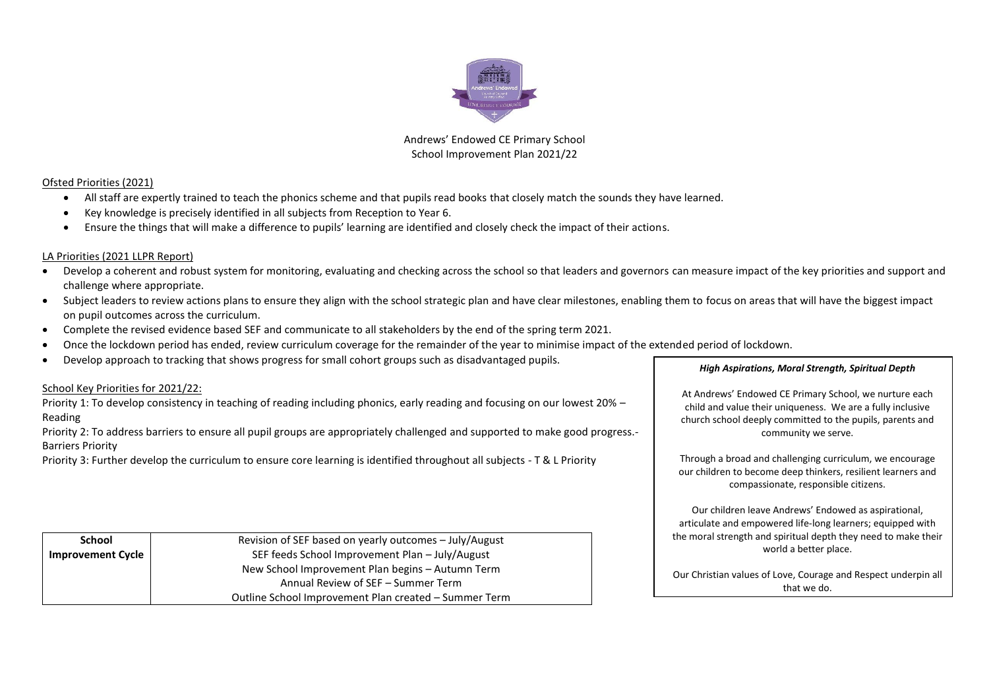

Andrews' Endowed CE Primary School School Improvement Plan 2021/22

#### Ofsted Priorities (2021)

- All staff are expertly trained to teach the phonics scheme and that pupils read books that closely match the sounds they have learned.
- Key knowledge is precisely identified in all subjects from Reception to Year 6.
- Ensure the things that will make a difference to pupils' learning are identified and closely check the impact of their actions.

#### LA Priorities (2021 LLPR Report)

- Develop a coherent and robust system for monitoring, evaluating and checking across the school so that leaders and governors can measure impact of the key priorities and support and challenge where appropriate.
- Subject leaders to review actions plans to ensure they align with the school strategic plan and have clear milestones, enabling them to focus on areas that will have the biggest impact on pupil outcomes across the curriculum.
- Complete the revised evidence based SEF and communicate to all stakeholders by the end of the spring term 2021.
- Once the lockdown period has ended, review curriculum coverage for the remainder of the year to minimise impact of the extended period of lockdown.
- Develop approach to tracking that shows progress for small cohort groups such as disadvantaged pupils.

#### School Key Priorities for 2021/22:

Priority 1: To develop consistency in teaching of reading including phonics, early reading and focusing on our lowest 20% – Reading

Priority 2: To address barriers to ensure all pupil groups are appropriately challenged and supported to make good progress.- Barriers Priority

Priority 3: Further develop the curriculum to ensure core learning is identified throughout all subjects - T & L Priority

*High Aspirations, Moral Strength, Spiritual Depth*

At Andrews' Endowed CE Primary School, we nurture each child and value their uniqueness. We are a fully inclusive church school deeply committed to the pupils, parents and community we serve.

Through a broad and challenging curriculum, we encourage our children to become deep thinkers, resilient learners and compassionate, responsible citizens.

Our children leave Andrews' Endowed as aspirational, articulate and empowered life-long learners; equipped with the moral strength and spiritual depth they need to make their world a better place.

Our Christian values of Love, Courage and Respect underpin all that we do.

| School                   | Revision of SEF based on yearly outcomes – July/August |
|--------------------------|--------------------------------------------------------|
| <b>Improvement Cycle</b> | SEF feeds School Improvement Plan - July/August        |
|                          | New School Improvement Plan begins - Autumn Term       |
|                          | Annual Review of SEF – Summer Term                     |
|                          | Outline School Improvement Plan created – Summer Term  |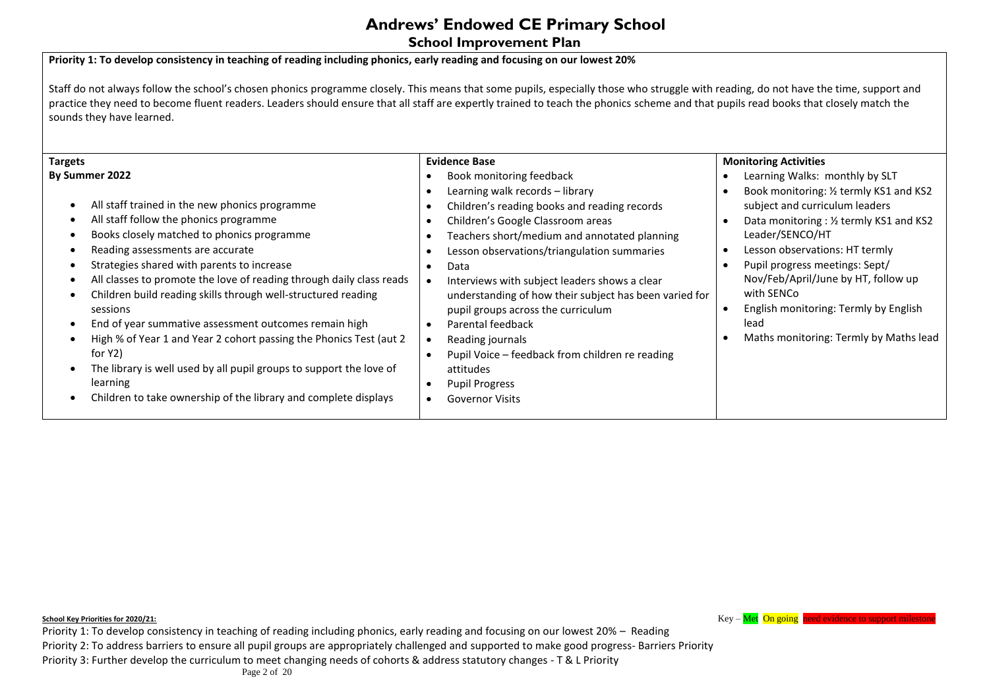**School Improvement Plan** 

#### **Priority 1: To develop consistency in teaching of reading including phonics, early reading and focusing on our lowest 20%**

Staff do not always follow the school's chosen phonics programme closely. This means that some pupils, especially those who struggle with reading, do not have the time, support and practice they need to become fluent readers. Leaders should ensure that all staff are expertly trained to teach the phonics scheme and that pupils read books that closely match the sounds they have learned.

**School Key Priorities for 2020/21: Key – Met On going need evidence to support mileston** 

Priority 1: To develop consistency in teaching of reading including phonics, early reading and focusing on our lowest 20% – Reading Priority 2: To address barriers to ensure all pupil groups are appropriately challenged and supported to make good progress- Barriers Priority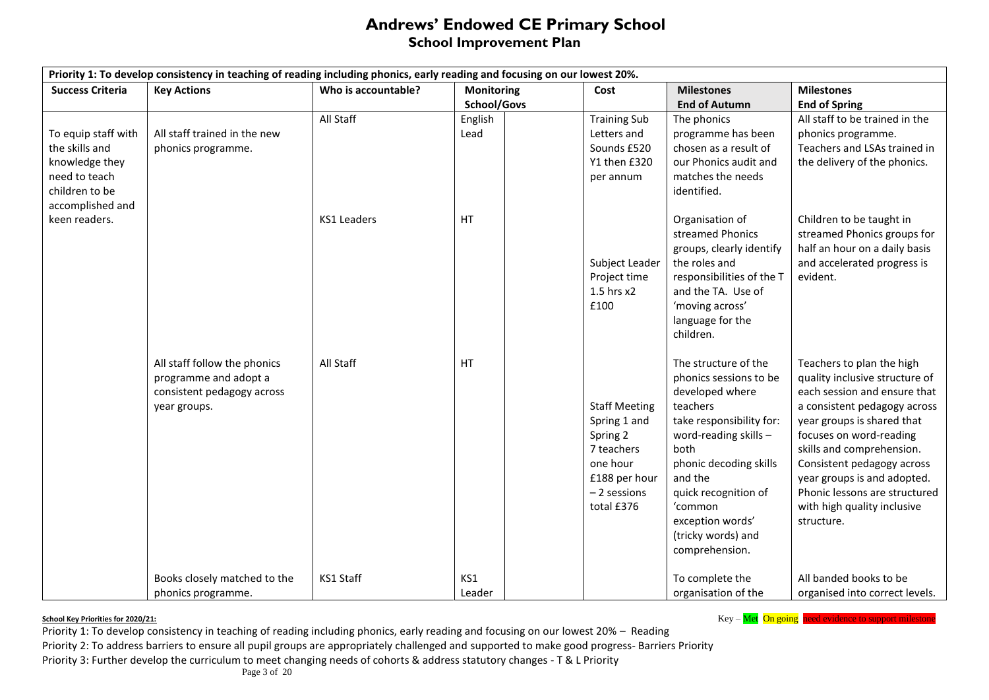### **Andrews' Endowed CE Primary School School Improvement Plan**

| Priority 1: To develop consistency in teaching of reading including phonics, early reading and focusing on our lowest 20%. |                                                                                                     |                     |                   |                                                                                                                           |                                                                                                                                                                                                                                                                                  |                                                                                                                                                                                                                                                                                                                                                              |  |  |
|----------------------------------------------------------------------------------------------------------------------------|-----------------------------------------------------------------------------------------------------|---------------------|-------------------|---------------------------------------------------------------------------------------------------------------------------|----------------------------------------------------------------------------------------------------------------------------------------------------------------------------------------------------------------------------------------------------------------------------------|--------------------------------------------------------------------------------------------------------------------------------------------------------------------------------------------------------------------------------------------------------------------------------------------------------------------------------------------------------------|--|--|
| <b>Success Criteria</b>                                                                                                    | <b>Key Actions</b>                                                                                  | Who is accountable? | <b>Monitoring</b> | Cost                                                                                                                      | <b>Milestones</b>                                                                                                                                                                                                                                                                | <b>Milestones</b>                                                                                                                                                                                                                                                                                                                                            |  |  |
|                                                                                                                            |                                                                                                     |                     | School/Govs       |                                                                                                                           | <b>End of Autumn</b>                                                                                                                                                                                                                                                             | <b>End of Spring</b>                                                                                                                                                                                                                                                                                                                                         |  |  |
| To equip staff with<br>the skills and<br>knowledge they<br>need to teach<br>children to be                                 | All staff trained in the new<br>phonics programme.                                                  | All Staff           | English<br>Lead   | <b>Training Sub</b><br>Letters and<br>Sounds £520<br>Y1 then £320<br>per annum                                            | The phonics<br>programme has been<br>chosen as a result of<br>our Phonics audit and<br>matches the needs<br>identified.                                                                                                                                                          | All staff to be trained in the<br>phonics programme.<br>Teachers and LSAs trained in<br>the delivery of the phonics.                                                                                                                                                                                                                                         |  |  |
| accomplished and<br>keen readers.                                                                                          |                                                                                                     | <b>KS1 Leaders</b>  | HT                | Subject Leader<br>Project time<br>$1.5$ hrs $x2$<br>£100                                                                  | Organisation of<br>streamed Phonics<br>groups, clearly identify<br>the roles and<br>responsibilities of the T<br>and the TA. Use of<br>'moving across'<br>language for the<br>children.                                                                                          | Children to be taught in<br>streamed Phonics groups for<br>half an hour on a daily basis<br>and accelerated progress is<br>evident.                                                                                                                                                                                                                          |  |  |
|                                                                                                                            | All staff follow the phonics<br>programme and adopt a<br>consistent pedagogy across<br>year groups. | All Staff           | HT                | <b>Staff Meeting</b><br>Spring 1 and<br>Spring 2<br>7 teachers<br>one hour<br>£188 per hour<br>- 2 sessions<br>total £376 | The structure of the<br>phonics sessions to be<br>developed where<br>teachers<br>take responsibility for:<br>word-reading skills $-$<br>both<br>phonic decoding skills<br>and the<br>quick recognition of<br>'common<br>exception words'<br>(tricky words) and<br>comprehension. | Teachers to plan the high<br>quality inclusive structure of<br>each session and ensure that<br>a consistent pedagogy across<br>year groups is shared that<br>focuses on word-reading<br>skills and comprehension.<br>Consistent pedagogy across<br>year groups is and adopted.<br>Phonic lessons are structured<br>with high quality inclusive<br>structure. |  |  |
|                                                                                                                            | Books closely matched to the<br>phonics programme.                                                  | KS1 Staff           | KS1<br>Leader     |                                                                                                                           | To complete the<br>organisation of the                                                                                                                                                                                                                                           | All banded books to be<br>organised into correct levels.                                                                                                                                                                                                                                                                                                     |  |  |

**School Key Priorities for 2020/21: Key – Met On going need evidence to support milestone**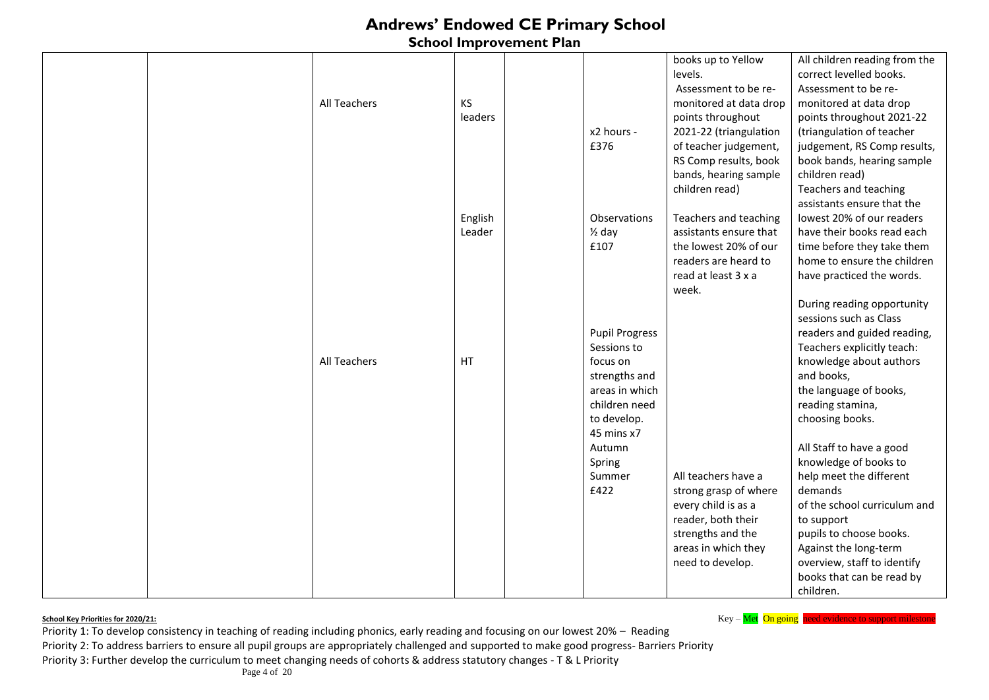### **School Improvement Plan**

|  |                     |         |                       | books up to Yellow     | All children reading from the |
|--|---------------------|---------|-----------------------|------------------------|-------------------------------|
|  |                     |         |                       | levels.                | correct levelled books.       |
|  |                     |         |                       | Assessment to be re-   | Assessment to be re-          |
|  | All Teachers        | KS      |                       | monitored at data drop | monitored at data drop        |
|  |                     | leaders |                       | points throughout      | points throughout 2021-22     |
|  |                     |         | x2 hours -            | 2021-22 (triangulation | (triangulation of teacher     |
|  |                     |         | £376                  | of teacher judgement,  | judgement, RS Comp results,   |
|  |                     |         |                       | RS Comp results, book  | book bands, hearing sample    |
|  |                     |         |                       | bands, hearing sample  | children read)                |
|  |                     |         |                       | children read)         | Teachers and teaching         |
|  |                     |         |                       |                        | assistants ensure that the    |
|  |                     | English | Observations          | Teachers and teaching  | lowest 20% of our readers     |
|  |                     | Leader  | $\frac{1}{2}$ day     | assistants ensure that | have their books read each    |
|  |                     |         | £107                  | the lowest 20% of our  | time before they take them    |
|  |                     |         |                       | readers are heard to   | home to ensure the children   |
|  |                     |         |                       | read at least 3 x a    | have practiced the words.     |
|  |                     |         |                       | week.                  |                               |
|  |                     |         |                       |                        | During reading opportunity    |
|  |                     |         |                       |                        | sessions such as Class        |
|  |                     |         | <b>Pupil Progress</b> |                        | readers and guided reading,   |
|  |                     |         | Sessions to           |                        | Teachers explicitly teach:    |
|  | <b>All Teachers</b> | HT      | focus on              |                        | knowledge about authors       |
|  |                     |         | strengths and         |                        | and books,                    |
|  |                     |         | areas in which        |                        | the language of books,        |
|  |                     |         | children need         |                        | reading stamina,              |
|  |                     |         | to develop.           |                        | choosing books.               |
|  |                     |         | 45 mins x7            |                        |                               |
|  |                     |         | Autumn                |                        | All Staff to have a good      |
|  |                     |         | Spring                |                        | knowledge of books to         |
|  |                     |         | Summer                | All teachers have a    | help meet the different       |
|  |                     |         | £422                  | strong grasp of where  | demands                       |
|  |                     |         |                       | every child is as a    | of the school curriculum and  |
|  |                     |         |                       | reader, both their     | to support                    |
|  |                     |         |                       | strengths and the      | pupils to choose books.       |
|  |                     |         |                       | areas in which they    | Against the long-term         |
|  |                     |         |                       | need to develop.       | overview, staff to identify   |
|  |                     |         |                       |                        | books that can be read by     |
|  |                     |         |                       |                        | children.                     |

**School Key Priorities for 2020/21: Key – Met On going need evidence to support milestone**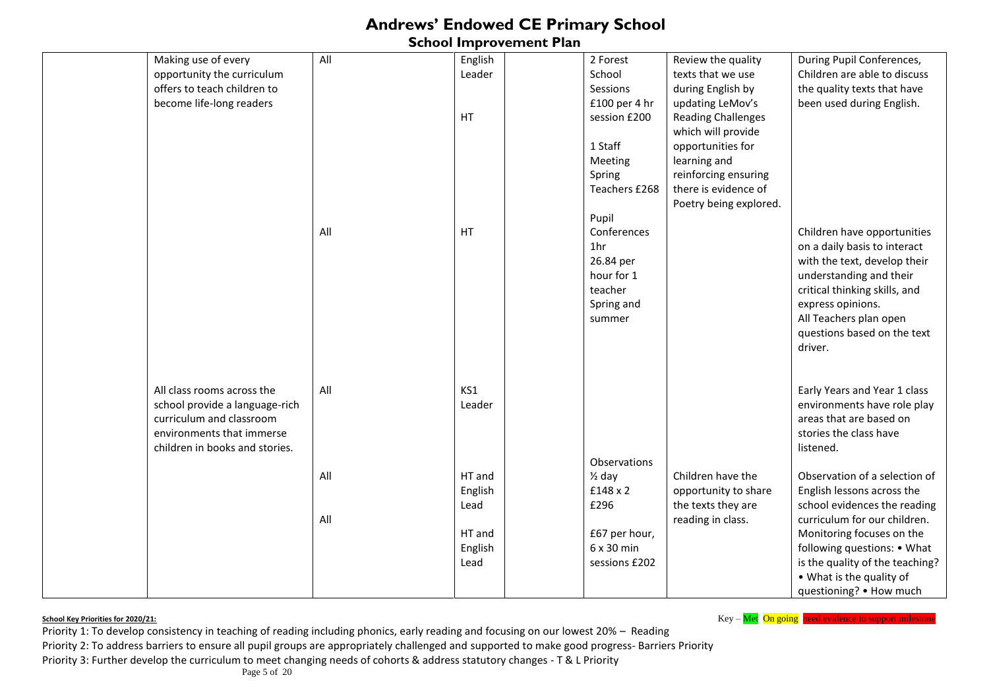### **School Improvement Plan**

| Making use of every            | All | English | 2 Forest          | Review the quality        | During Pupil Conferences,       |
|--------------------------------|-----|---------|-------------------|---------------------------|---------------------------------|
| opportunity the curriculum     |     | Leader  | School            | texts that we use         | Children are able to discuss    |
| offers to teach children to    |     |         | Sessions          | during English by         | the quality texts that have     |
| become life-long readers       |     |         | £100 per 4 hr     | updating LeMov's          | been used during English.       |
|                                |     | HT      | session £200      | <b>Reading Challenges</b> |                                 |
|                                |     |         |                   | which will provide        |                                 |
|                                |     |         | 1 Staff           | opportunities for         |                                 |
|                                |     |         | Meeting           | learning and              |                                 |
|                                |     |         | Spring            | reinforcing ensuring      |                                 |
|                                |     |         | Teachers £268     | there is evidence of      |                                 |
|                                |     |         |                   | Poetry being explored.    |                                 |
|                                |     |         | Pupil             |                           |                                 |
|                                | All | HT      | Conferences       |                           | Children have opportunities     |
|                                |     |         | 1 <sub>hr</sub>   |                           |                                 |
|                                |     |         |                   |                           | on a daily basis to interact    |
|                                |     |         | 26.84 per         |                           | with the text, develop their    |
|                                |     |         | hour for 1        |                           | understanding and their         |
|                                |     |         | teacher           |                           | critical thinking skills, and   |
|                                |     |         | Spring and        |                           | express opinions.               |
|                                |     |         | summer            |                           | All Teachers plan open          |
|                                |     |         |                   |                           | questions based on the text     |
|                                |     |         |                   |                           | driver.                         |
|                                |     |         |                   |                           |                                 |
|                                |     |         |                   |                           |                                 |
| All class rooms across the     | All | KS1     |                   |                           | Early Years and Year 1 class    |
| school provide a language-rich |     | Leader  |                   |                           | environments have role play     |
| curriculum and classroom       |     |         |                   |                           | areas that are based on         |
| environments that immerse      |     |         |                   |                           | stories the class have          |
| children in books and stories. |     |         |                   |                           | listened.                       |
|                                |     |         | Observations      |                           |                                 |
|                                | All | HT and  | $\frac{1}{2}$ day | Children have the         | Observation of a selection of   |
|                                |     | English | £148 x 2          | opportunity to share      | English lessons across the      |
|                                |     | Lead    | £296              | the texts they are        | school evidences the reading    |
|                                | All |         |                   | reading in class.         | curriculum for our children.    |
|                                |     | HT and  | £67 per hour,     |                           | Monitoring focuses on the       |
|                                |     | English | 6 x 30 min        |                           | following questions: • What     |
|                                |     | Lead    | sessions £202     |                           | is the quality of the teaching? |
|                                |     |         |                   |                           |                                 |
|                                |     |         |                   |                           | • What is the quality of        |
|                                |     |         |                   |                           | questioning? • How much         |

**School Key Priorities for 2020/21: Key – Met On going need evidence to support milestone** 

Priority 1: To develop consistency in teaching of reading including phonics, early reading and focusing on our lowest 20% – Reading Priority 2: To address barriers to ensure all pupil groups are appropriately challenged and supported to make good progress- Barriers Priority Priority 3: Further develop the curriculum to meet changing needs of cohorts & address statutory changes - T & L Priority

Page 5 of 20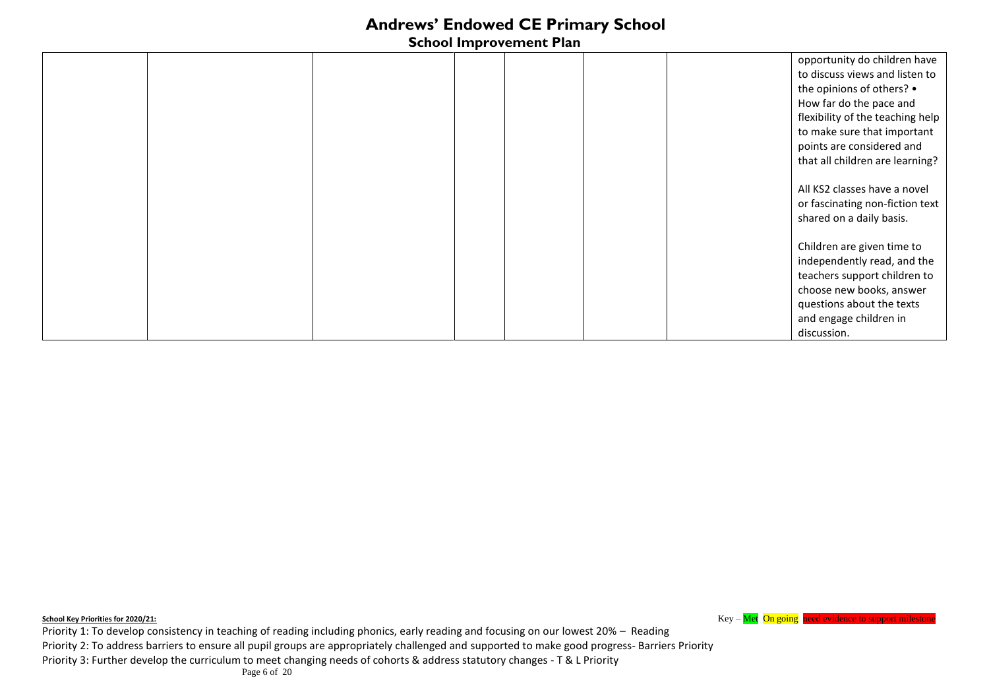### **School Improvement Plan**

|  |  |  | opportunity do children have     |
|--|--|--|----------------------------------|
|  |  |  | to discuss views and listen to   |
|  |  |  | the opinions of others? •        |
|  |  |  | How far do the pace and          |
|  |  |  | flexibility of the teaching help |
|  |  |  | to make sure that important      |
|  |  |  | points are considered and        |
|  |  |  | that all children are learning?  |
|  |  |  |                                  |
|  |  |  | All KS2 classes have a novel     |
|  |  |  | or fascinating non-fiction text  |
|  |  |  | shared on a daily basis.         |
|  |  |  |                                  |
|  |  |  | Children are given time to       |
|  |  |  | independently read, and the      |
|  |  |  | teachers support children to     |
|  |  |  | choose new books, answer         |
|  |  |  | questions about the texts        |
|  |  |  | and engage children in           |
|  |  |  | discussion.                      |

**School Key Priorities for 2020/21: Key – Met On going need evidence to support milestone** Priority 1: To develop consistency in teaching of reading including phonics, early reading and focusing on our lowest 20% – Reading Priority 2: To address barriers to ensure all pupil groups are appropriately challenged and supported to make good progress- Barriers Priority Priority 3: Further develop the curriculum to meet changing needs of cohorts & address statutory changes - T & L Priority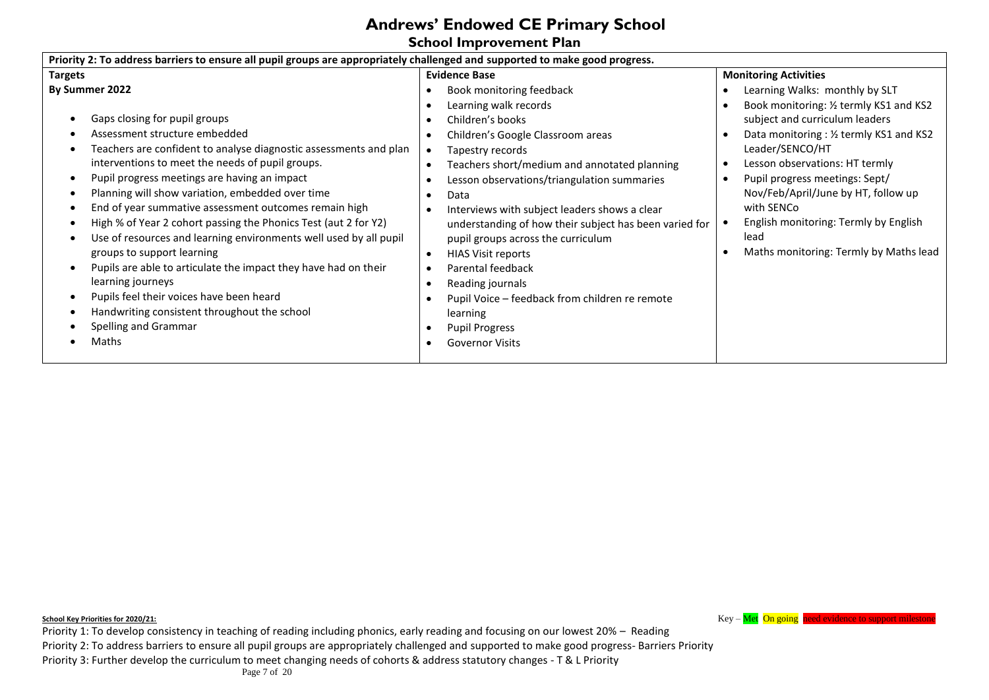### **School Improvement Plan**

| <b>Targets</b>                                                                                                                                                                                                                                                                                                                                                                                                                                                                                                                                                                                                                                                                                                                                                    | <b>Evidence Base</b>                                                                                                                                                                                                                                                                                                                                                                                                                                                                                                                                                          | <b>Monitoring Activities</b>                                                                                                                                                                                                                                                                                                                                                                                          |
|-------------------------------------------------------------------------------------------------------------------------------------------------------------------------------------------------------------------------------------------------------------------------------------------------------------------------------------------------------------------------------------------------------------------------------------------------------------------------------------------------------------------------------------------------------------------------------------------------------------------------------------------------------------------------------------------------------------------------------------------------------------------|-------------------------------------------------------------------------------------------------------------------------------------------------------------------------------------------------------------------------------------------------------------------------------------------------------------------------------------------------------------------------------------------------------------------------------------------------------------------------------------------------------------------------------------------------------------------------------|-----------------------------------------------------------------------------------------------------------------------------------------------------------------------------------------------------------------------------------------------------------------------------------------------------------------------------------------------------------------------------------------------------------------------|
| By Summer 2022<br>Gaps closing for pupil groups<br>Assessment structure embedded<br>Teachers are confident to analyse diagnostic assessments and plan<br>interventions to meet the needs of pupil groups.<br>Pupil progress meetings are having an impact<br>Planning will show variation, embedded over time<br>End of year summative assessment outcomes remain high<br>High % of Year 2 cohort passing the Phonics Test (aut 2 for Y2)<br>Use of resources and learning environments well used by all pupil<br>groups to support learning<br>Pupils are able to articulate the impact they have had on their<br>learning journeys<br>Pupils feel their voices have been heard<br>Handwriting consistent throughout the school<br>Spelling and Grammar<br>Maths | Book monitoring feedback<br>Learning walk records<br>Children's books<br>Children's Google Classroom areas<br>Tapestry records<br>Teachers short/medium and annotated planning<br>Lesson observations/triangulation summaries<br>Data<br>Interviews with subject leaders shows a clear<br>understanding of how their subject has been varied for<br>pupil groups across the curriculum<br><b>HIAS Visit reports</b><br>Parental feedback<br>Reading journals<br>Pupil Voice - feedback from children re remote<br>learning<br><b>Pupil Progress</b><br><b>Governor Visits</b> | Learning Walks: monthly by SLT<br>Book monitoring: 1/2 termly KS1 and KS2<br>subject and curriculum leaders<br>Data monitoring : 1/2 termly KS1 and KS2<br>٠<br>Leader/SENCO/HT<br>Lesson observations: HT termly<br>٠<br>Pupil progress meetings: Sept/<br>$\bullet$<br>Nov/Feb/April/June by HT, follow up<br>with SENCo<br>English monitoring: Termly by English<br>lead<br>Maths monitoring: Termly by Maths lead |

**School Key Priorities for 2020/21: Key – Met On going need evidence to support milestone** 

Priority 1: To develop consistency in teaching of reading including phonics, early reading and focusing on our lowest 20% – Reading Priority 2: To address barriers to ensure all pupil groups are appropriately challenged and supported to make good progress- Barriers Priority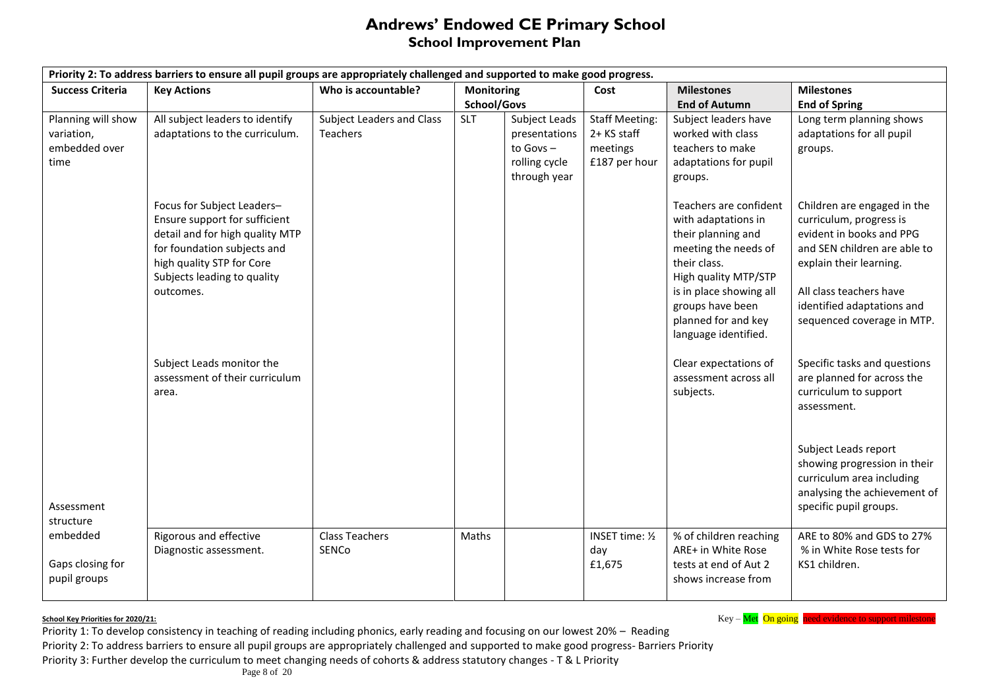### **Andrews' Endowed CE Primary School School Improvement Plan**

| Priority 2: To address barriers to ensure all pupil groups are appropriately challenged and supported to make good progress. |                                                                                                                                                                                                        |                                |                   |               |                                  |                                                                                                                                                                                                                                   |                                                                                                                                                                                                                                      |  |
|------------------------------------------------------------------------------------------------------------------------------|--------------------------------------------------------------------------------------------------------------------------------------------------------------------------------------------------------|--------------------------------|-------------------|---------------|----------------------------------|-----------------------------------------------------------------------------------------------------------------------------------------------------------------------------------------------------------------------------------|--------------------------------------------------------------------------------------------------------------------------------------------------------------------------------------------------------------------------------------|--|
| <b>Success Criteria</b>                                                                                                      | <b>Key Actions</b>                                                                                                                                                                                     | Who is accountable?            | <b>Monitoring</b> |               | Cost                             | <b>Milestones</b>                                                                                                                                                                                                                 | <b>Milestones</b>                                                                                                                                                                                                                    |  |
|                                                                                                                              |                                                                                                                                                                                                        |                                | School/Govs       |               |                                  | <b>End of Autumn</b>                                                                                                                                                                                                              | <b>End of Spring</b>                                                                                                                                                                                                                 |  |
| Planning will show                                                                                                           | All subject leaders to identify                                                                                                                                                                        | Subject Leaders and Class      | <b>SLT</b>        | Subject Leads | <b>Staff Meeting:</b>            | Subject leaders have                                                                                                                                                                                                              | Long term planning shows                                                                                                                                                                                                             |  |
| variation,                                                                                                                   | adaptations to the curriculum.                                                                                                                                                                         | Teachers                       |                   | presentations | 2+ KS staff                      | worked with class                                                                                                                                                                                                                 | adaptations for all pupil                                                                                                                                                                                                            |  |
| embedded over                                                                                                                |                                                                                                                                                                                                        |                                |                   | to Govs $-$   | meetings                         | teachers to make                                                                                                                                                                                                                  | groups.                                                                                                                                                                                                                              |  |
| time                                                                                                                         |                                                                                                                                                                                                        |                                |                   | rolling cycle | £187 per hour                    | adaptations for pupil                                                                                                                                                                                                             |                                                                                                                                                                                                                                      |  |
|                                                                                                                              |                                                                                                                                                                                                        |                                |                   | through year  |                                  | groups.                                                                                                                                                                                                                           |                                                                                                                                                                                                                                      |  |
|                                                                                                                              | Focus for Subject Leaders-<br>Ensure support for sufficient<br>detail and for high quality MTP<br>for foundation subjects and<br>high quality STP for Core<br>Subjects leading to quality<br>outcomes. |                                |                   |               |                                  | Teachers are confident<br>with adaptations in<br>their planning and<br>meeting the needs of<br>their class.<br>High quality MTP/STP<br>is in place showing all<br>groups have been<br>planned for and key<br>language identified. | Children are engaged in the<br>curriculum, progress is<br>evident in books and PPG<br>and SEN children are able to<br>explain their learning.<br>All class teachers have<br>identified adaptations and<br>sequenced coverage in MTP. |  |
|                                                                                                                              | Subject Leads monitor the<br>assessment of their curriculum<br>area.                                                                                                                                   |                                |                   |               |                                  | Clear expectations of<br>assessment across all<br>subjects.                                                                                                                                                                       | Specific tasks and questions<br>are planned for across the<br>curriculum to support<br>assessment.                                                                                                                                   |  |
| Assessment<br>structure                                                                                                      |                                                                                                                                                                                                        |                                |                   |               |                                  |                                                                                                                                                                                                                                   | Subject Leads report<br>showing progression in their<br>curriculum area including<br>analysing the achievement of<br>specific pupil groups.                                                                                          |  |
| embedded<br>Gaps closing for<br>pupil groups                                                                                 | Rigorous and effective<br>Diagnostic assessment.                                                                                                                                                       | <b>Class Teachers</b><br>SENCo | Maths             |               | INSET time: 1/2<br>day<br>£1,675 | % of children reaching<br>ARE+ in White Rose<br>tests at end of Aut 2<br>shows increase from                                                                                                                                      | ARE to 80% and GDS to 27%<br>% in White Rose tests for<br>KS1 children.                                                                                                                                                              |  |

**School Key Priorities for 2020/21: Key – Met On going need evidence to support milestone**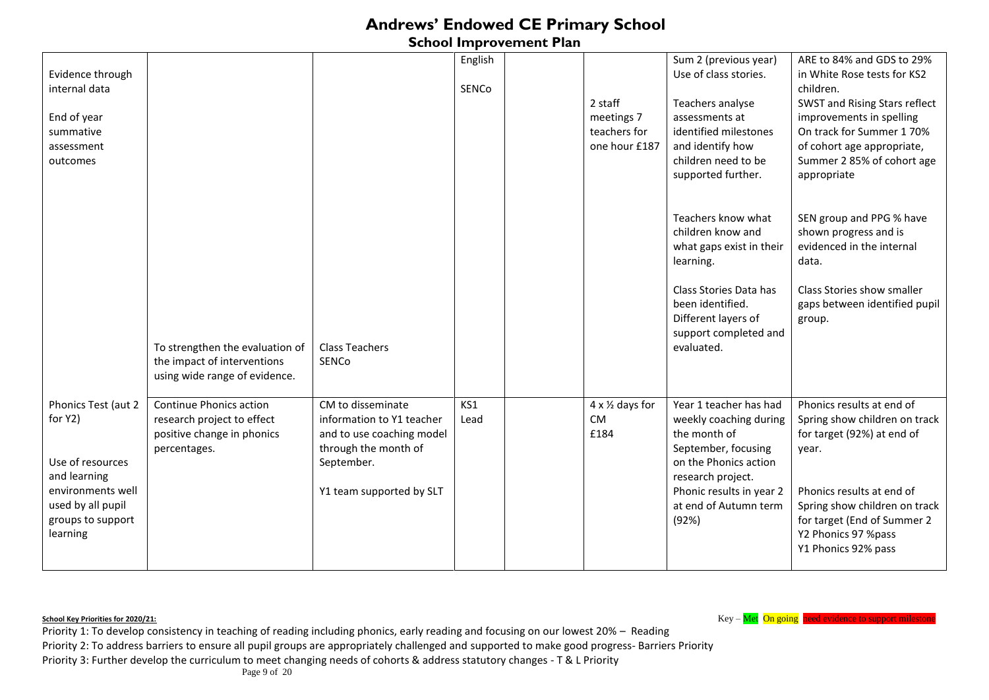### **School Improvement Plan**

| Evidence through<br>internal data<br>End of year<br>summative<br>assessment<br>outcomes                                                       |                                                                                                            |                                                                                                                                               | English<br>SENCo | 2 staff<br>meetings 7<br>teachers for<br>one hour £187 | Sum 2 (previous year)<br>Use of class stories.<br>Teachers analyse<br>assessments at<br>identified milestones<br>and identify how<br>children need to be<br>supported further.                      | ARE to 84% and GDS to 29%<br>in White Rose tests for KS2<br>children.<br>SWST and Rising Stars reflect<br>improvements in spelling<br>On track for Summer 170%<br>of cohort age appropriate,<br>Summer 2 85% of cohort age<br>appropriate    |
|-----------------------------------------------------------------------------------------------------------------------------------------------|------------------------------------------------------------------------------------------------------------|-----------------------------------------------------------------------------------------------------------------------------------------------|------------------|--------------------------------------------------------|-----------------------------------------------------------------------------------------------------------------------------------------------------------------------------------------------------|----------------------------------------------------------------------------------------------------------------------------------------------------------------------------------------------------------------------------------------------|
|                                                                                                                                               | To strengthen the evaluation of<br>the impact of interventions<br>using wide range of evidence.            | <b>Class Teachers</b><br><b>SENCO</b>                                                                                                         |                  |                                                        | Teachers know what<br>children know and<br>what gaps exist in their<br>learning.<br>Class Stories Data has<br>been identified.<br>Different layers of<br>support completed and<br>evaluated.        | SEN group and PPG % have<br>shown progress and is<br>evidenced in the internal<br>data.<br>Class Stories show smaller<br>gaps between identified pupil<br>group.                                                                             |
| Phonics Test (aut 2<br>for Y2)<br>Use of resources<br>and learning<br>environments well<br>used by all pupil<br>groups to support<br>learning | <b>Continue Phonics action</b><br>research project to effect<br>positive change in phonics<br>percentages. | CM to disseminate<br>information to Y1 teacher<br>and to use coaching model<br>through the month of<br>September.<br>Y1 team supported by SLT | KS1<br>Lead      | 4 x 1/2 days for<br><b>CM</b><br>£184                  | Year 1 teacher has had<br>weekly coaching during<br>the month of<br>September, focusing<br>on the Phonics action<br>research project.<br>Phonic results in year 2<br>at end of Autumn term<br>(92%) | Phonics results at end of<br>Spring show children on track<br>for target (92%) at end of<br>year.<br>Phonics results at end of<br>Spring show children on track<br>for target (End of Summer 2<br>Y2 Phonics 97 %pass<br>Y1 Phonics 92% pass |

**School Key Priorities for 2020/21: Key – Met On going need evidence to support milestone**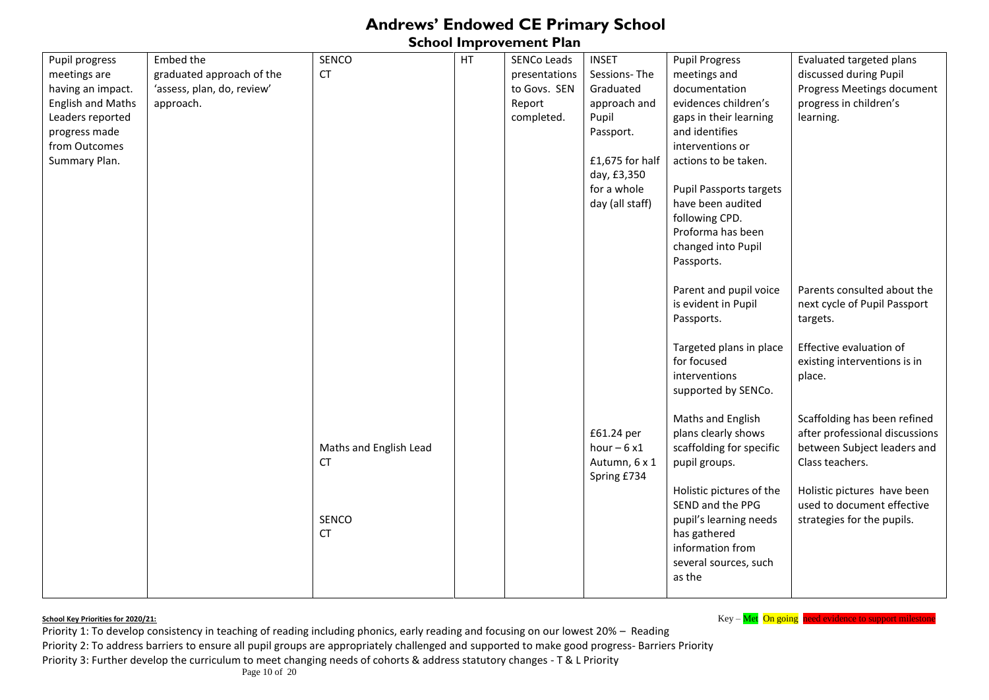**School Improvement Plan** 

| Pupil progress           | Embed the                  | SENCO                  | HT | SENCo Leads   | <b>INSET</b>    | <b>Pupil Progress</b>    | Evaluated targeted plans       |
|--------------------------|----------------------------|------------------------|----|---------------|-----------------|--------------------------|--------------------------------|
| meetings are             | graduated approach of the  | <b>CT</b>              |    | presentations | Sessions-The    | meetings and             | discussed during Pupil         |
| having an impact.        | 'assess, plan, do, review' |                        |    | to Govs. SEN  | Graduated       | documentation            | Progress Meetings document     |
| <b>English and Maths</b> | approach.                  |                        |    | Report        | approach and    | evidences children's     | progress in children's         |
| Leaders reported         |                            |                        |    | completed.    | Pupil           | gaps in their learning   | learning.                      |
| progress made            |                            |                        |    |               | Passport.       | and identifies           |                                |
| from Outcomes            |                            |                        |    |               |                 | interventions or         |                                |
| Summary Plan.            |                            |                        |    |               | £1,675 for half | actions to be taken.     |                                |
|                          |                            |                        |    |               | day, £3,350     |                          |                                |
|                          |                            |                        |    |               | for a whole     | Pupil Passports targets  |                                |
|                          |                            |                        |    |               | day (all staff) | have been audited        |                                |
|                          |                            |                        |    |               |                 | following CPD.           |                                |
|                          |                            |                        |    |               |                 | Proforma has been        |                                |
|                          |                            |                        |    |               |                 | changed into Pupil       |                                |
|                          |                            |                        |    |               |                 | Passports.               |                                |
|                          |                            |                        |    |               |                 |                          |                                |
|                          |                            |                        |    |               |                 | Parent and pupil voice   | Parents consulted about the    |
|                          |                            |                        |    |               |                 | is evident in Pupil      | next cycle of Pupil Passport   |
|                          |                            |                        |    |               |                 | Passports.               | targets.                       |
|                          |                            |                        |    |               |                 |                          |                                |
|                          |                            |                        |    |               |                 | Targeted plans in place  | Effective evaluation of        |
|                          |                            |                        |    |               |                 | for focused              | existing interventions is in   |
|                          |                            |                        |    |               |                 | interventions            | place.                         |
|                          |                            |                        |    |               |                 | supported by SENCo.      |                                |
|                          |                            |                        |    |               |                 |                          |                                |
|                          |                            |                        |    |               |                 | Maths and English        | Scaffolding has been refined   |
|                          |                            |                        |    |               | £61.24 per      | plans clearly shows      | after professional discussions |
|                          |                            | Maths and English Lead |    |               | hour $-6x1$     | scaffolding for specific | between Subject leaders and    |
|                          |                            | <b>CT</b>              |    |               | Autumn, 6 x 1   | pupil groups.            | Class teachers.                |
|                          |                            |                        |    |               | Spring £734     |                          |                                |
|                          |                            |                        |    |               |                 | Holistic pictures of the | Holistic pictures have been    |
|                          |                            |                        |    |               |                 | SEND and the PPG         | used to document effective     |
|                          |                            | SENCO                  |    |               |                 | pupil's learning needs   | strategies for the pupils.     |
|                          |                            | <b>CT</b>              |    |               |                 | has gathered             |                                |
|                          |                            |                        |    |               |                 | information from         |                                |
|                          |                            |                        |    |               |                 | several sources, such    |                                |
|                          |                            |                        |    |               |                 | as the                   |                                |
|                          |                            |                        |    |               |                 |                          |                                |

**School Key Priorities for 2020/21: Key – Met On going need evidence to support milestone**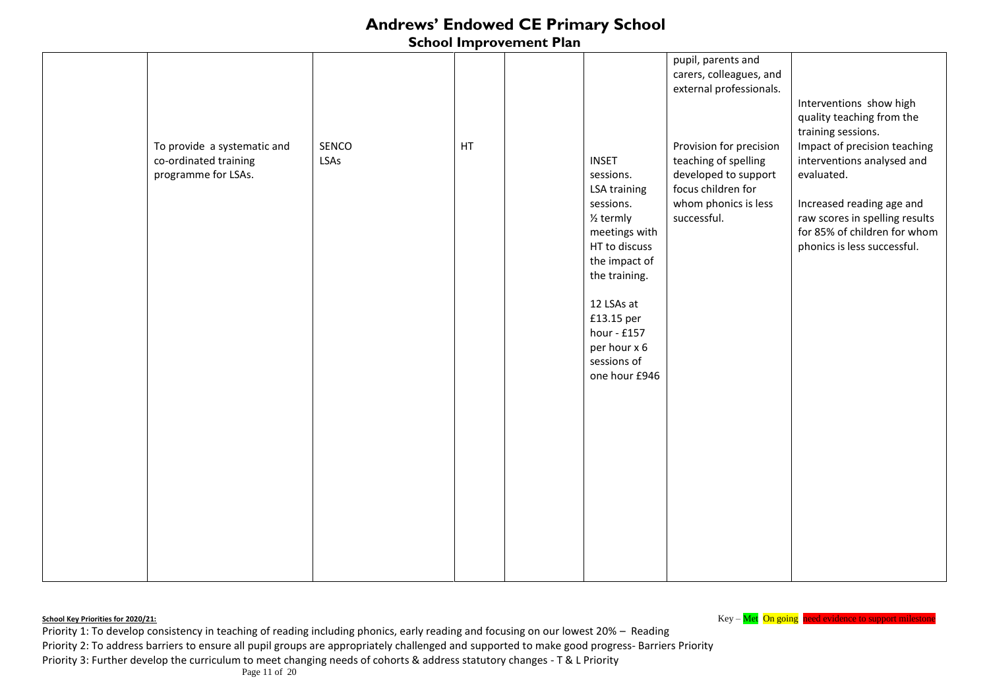#### **School Improvement Plan**

|                             |       |    |                        | pupil, parents and      |                                |
|-----------------------------|-------|----|------------------------|-------------------------|--------------------------------|
|                             |       |    |                        | carers, colleagues, and |                                |
|                             |       |    |                        | external professionals. |                                |
|                             |       |    |                        |                         | Interventions show high        |
|                             |       |    |                        |                         |                                |
|                             |       |    |                        |                         | quality teaching from the      |
|                             |       |    |                        |                         | training sessions.             |
| To provide a systematic and | SENCO | HT |                        | Provision for precision | Impact of precision teaching   |
| co-ordinated training       | LSAs  |    | <b>INSET</b>           | teaching of spelling    | interventions analysed and     |
| programme for LSAs.         |       |    | sessions.              | developed to support    | evaluated.                     |
|                             |       |    |                        | focus children for      |                                |
|                             |       |    | <b>LSA training</b>    |                         |                                |
|                             |       |    | sessions.              | whom phonics is less    | Increased reading age and      |
|                             |       |    | 1/ <sub>2</sub> termly | successful.             | raw scores in spelling results |
|                             |       |    | meetings with          |                         | for 85% of children for whom   |
|                             |       |    | HT to discuss          |                         | phonics is less successful.    |
|                             |       |    | the impact of          |                         |                                |
|                             |       |    |                        |                         |                                |
|                             |       |    | the training.          |                         |                                |
|                             |       |    |                        |                         |                                |
|                             |       |    | 12 LSAs at             |                         |                                |
|                             |       |    | £13.15 per             |                         |                                |
|                             |       |    | hour - £157            |                         |                                |
|                             |       |    | per hour x 6           |                         |                                |
|                             |       |    | sessions of            |                         |                                |
|                             |       |    | one hour £946          |                         |                                |
|                             |       |    |                        |                         |                                |
|                             |       |    |                        |                         |                                |
|                             |       |    |                        |                         |                                |
|                             |       |    |                        |                         |                                |
|                             |       |    |                        |                         |                                |
|                             |       |    |                        |                         |                                |
|                             |       |    |                        |                         |                                |
|                             |       |    |                        |                         |                                |
|                             |       |    |                        |                         |                                |
|                             |       |    |                        |                         |                                |
|                             |       |    |                        |                         |                                |
|                             |       |    |                        |                         |                                |
|                             |       |    |                        |                         |                                |
|                             |       |    |                        |                         |                                |
|                             |       |    |                        |                         |                                |
|                             |       |    |                        |                         |                                |

**School Key – Met On going need evidence to support milestone** School Key – Met On going need evidence to support milestone

Priority 1: To develop consistency in teaching of reading including phonics, early reading and focusing on our lowest 20% – Reading

Priority 2: To address barriers to ensure all pupil groups are appropriately challenged and supported to make good progress- Barriers Priority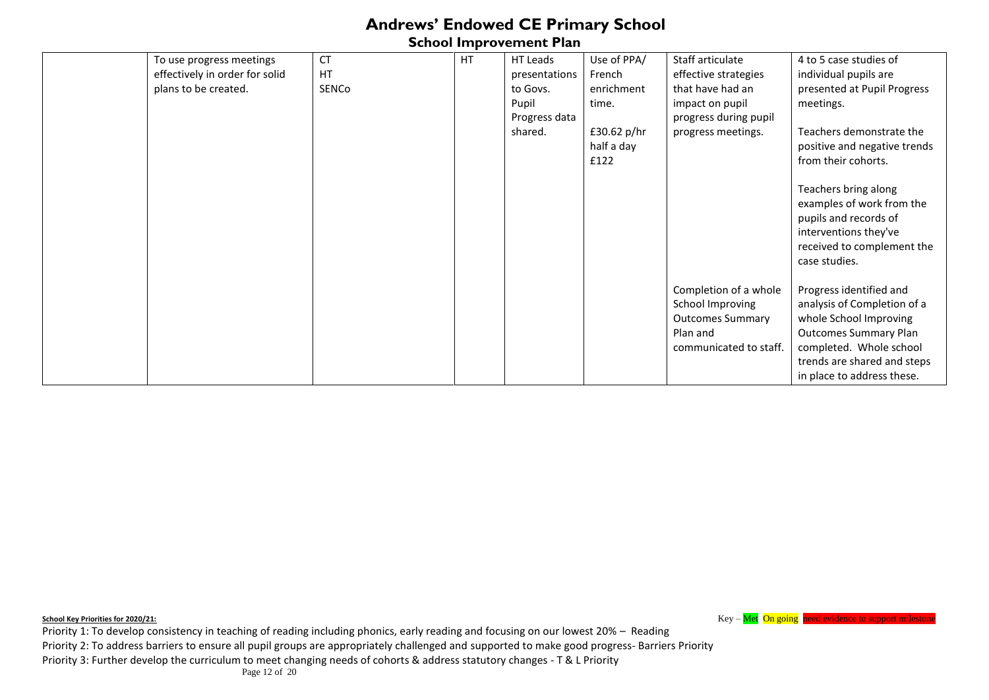**School Improvement Plan** 

| To use progress meetings       | <b>CT</b> | HT | HT Leads      | Use of PPA/                         | Staff articulate                                                                                           | 4 to 5 case studies of                                                                                                                                                                                   |
|--------------------------------|-----------|----|---------------|-------------------------------------|------------------------------------------------------------------------------------------------------------|----------------------------------------------------------------------------------------------------------------------------------------------------------------------------------------------------------|
| effectively in order for solid | <b>HT</b> |    | presentations | French                              | effective strategies                                                                                       | individual pupils are                                                                                                                                                                                    |
| plans to be created.           | SENCo     |    | to Govs.      | enrichment                          | that have had an                                                                                           | presented at Pupil Progress                                                                                                                                                                              |
|                                |           |    | Pupil         | time.                               | impact on pupil                                                                                            | meetings.                                                                                                                                                                                                |
|                                |           |    | Progress data |                                     | progress during pupil                                                                                      |                                                                                                                                                                                                          |
|                                |           |    | shared.       | £30.62 $p/hr$<br>half a day<br>£122 | progress meetings.                                                                                         | Teachers demonstrate the<br>positive and negative trends<br>from their cohorts.                                                                                                                          |
|                                |           |    |               |                                     |                                                                                                            | Teachers bring along<br>examples of work from the<br>pupils and records of<br>interventions they've<br>received to complement the<br>case studies.                                                       |
|                                |           |    |               |                                     | Completion of a whole<br>School Improving<br><b>Outcomes Summary</b><br>Plan and<br>communicated to staff. | Progress identified and<br>analysis of Completion of a<br>whole School Improving<br><b>Outcomes Summary Plan</b><br>completed. Whole school<br>trends are shared and steps<br>in place to address these. |

**School Key Priorities for 2020/21: Key – Met On going need evidence to support milestone** 

Priority 1: To develop consistency in teaching of reading including phonics, early reading and focusing on our lowest 20% – Reading Priority 2: To address barriers to ensure all pupil groups are appropriately challenged and supported to make good progress- Barriers Priority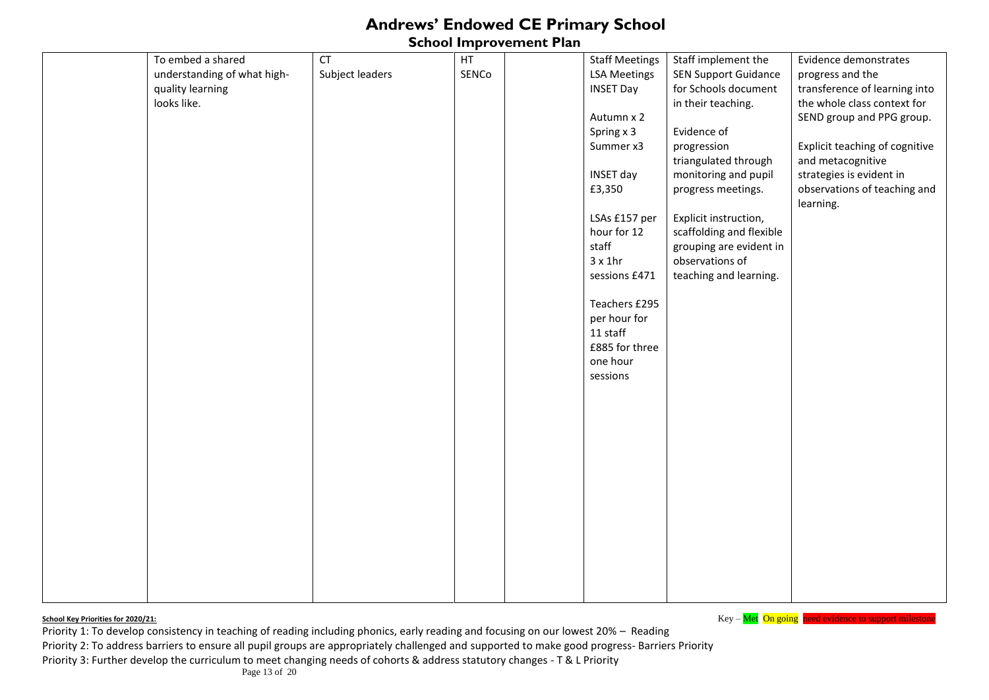### **School Improvement Plan**

| To embed a shared           | CT              | HT    | <b>Staff Meetings</b> | Staff implement the         | Evidence demonstrates                     |
|-----------------------------|-----------------|-------|-----------------------|-----------------------------|-------------------------------------------|
| understanding of what high- | Subject leaders | SENCo | <b>LSA Meetings</b>   | <b>SEN Support Guidance</b> | progress and the                          |
| quality learning            |                 |       | <b>INSET Day</b>      | for Schools document        | transference of learning into             |
| looks like.                 |                 |       |                       | in their teaching.          | the whole class context for               |
|                             |                 |       | Autumn x 2            |                             | SEND group and PPG group.                 |
|                             |                 |       | Spring x 3            | Evidence of                 |                                           |
|                             |                 |       | Summer x3             | progression                 | Explicit teaching of cognitive            |
|                             |                 |       |                       | triangulated through        | and metacognitive                         |
|                             |                 |       | INSET day             | monitoring and pupil        | strategies is evident in                  |
|                             |                 |       | £3,350                | progress meetings.          | observations of teaching and<br>learning. |
|                             |                 |       | LSAs £157 per         | Explicit instruction,       |                                           |
|                             |                 |       | hour for 12           | scaffolding and flexible    |                                           |
|                             |                 |       | staff                 | grouping are evident in     |                                           |
|                             |                 |       | $3 \times 1$ hr       | observations of             |                                           |
|                             |                 |       | sessions £471         | teaching and learning.      |                                           |
|                             |                 |       | Teachers £295         |                             |                                           |
|                             |                 |       | per hour for          |                             |                                           |
|                             |                 |       | 11 staff              |                             |                                           |
|                             |                 |       | £885 for three        |                             |                                           |
|                             |                 |       | one hour              |                             |                                           |
|                             |                 |       | sessions              |                             |                                           |
|                             |                 |       |                       |                             |                                           |
|                             |                 |       |                       |                             |                                           |
|                             |                 |       |                       |                             |                                           |
|                             |                 |       |                       |                             |                                           |
|                             |                 |       |                       |                             |                                           |
|                             |                 |       |                       |                             |                                           |
|                             |                 |       |                       |                             |                                           |
|                             |                 |       |                       |                             |                                           |
|                             |                 |       |                       |                             |                                           |
|                             |                 |       |                       |                             |                                           |
|                             |                 |       |                       |                             |                                           |
|                             |                 |       |                       |                             |                                           |
|                             |                 |       |                       |                             |                                           |
|                             |                 |       |                       |                             |                                           |

**School Key Priorities for 2020/21: Key – Met On going need evidence to support mileston**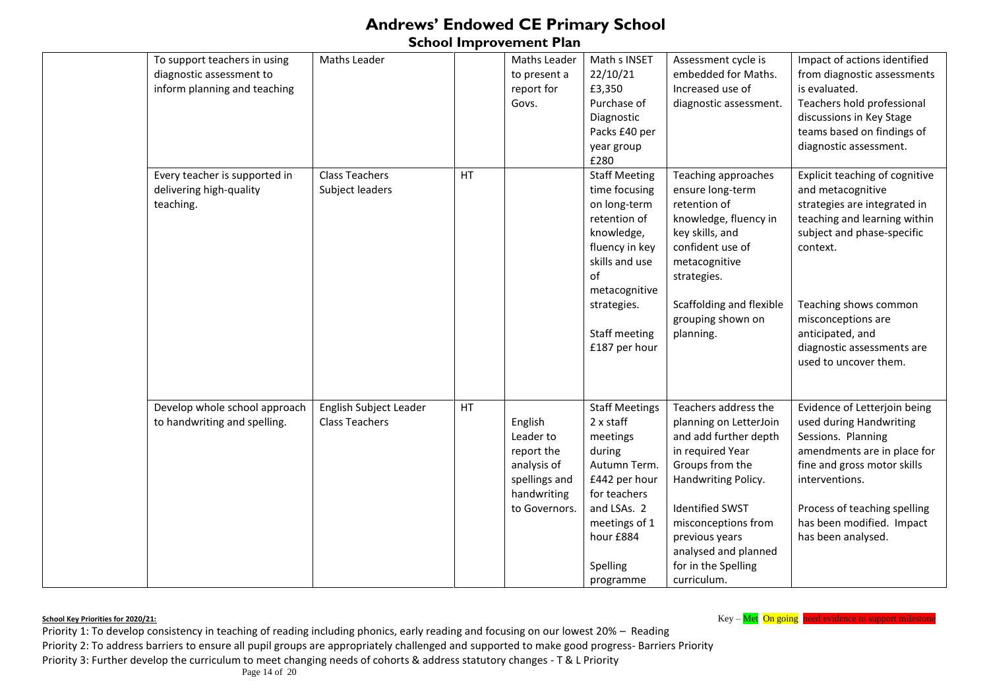**School Improvement Plan** 

| To support teachers in using<br>diagnostic assessment to<br>inform planning and teaching<br>Every teacher is supported in<br>delivering high-quality<br>teaching. | Maths Leader<br><b>Class Teachers</b><br>Subject leaders | HT | Maths Leader<br>to present a<br>report for<br>Govs.                                                | Math s INSET<br>22/10/21<br>£3,350<br>Purchase of<br>Diagnostic<br>Packs £40 per<br>year group<br>£280<br><b>Staff Meeting</b><br>time focusing<br>on long-term<br>retention of<br>knowledge,<br>fluency in key<br>skills and use<br>of<br>metacognitive<br>strategies. | Assessment cycle is<br>embedded for Maths.<br>Increased use of<br>diagnostic assessment.<br>Teaching approaches<br>ensure long-term<br>retention of<br>knowledge, fluency in<br>key skills, and<br>confident use of<br>metacognitive<br>strategies.<br>Scaffolding and flexible | Impact of actions identified<br>from diagnostic assessments<br>is evaluated.<br>Teachers hold professional<br>discussions in Key Stage<br>teams based on findings of<br>diagnostic assessment.<br>Explicit teaching of cognitive<br>and metacognitive<br>strategies are integrated in<br>teaching and learning within<br>subject and phase-specific<br>context.<br>Teaching shows common |
|-------------------------------------------------------------------------------------------------------------------------------------------------------------------|----------------------------------------------------------|----|----------------------------------------------------------------------------------------------------|-------------------------------------------------------------------------------------------------------------------------------------------------------------------------------------------------------------------------------------------------------------------------|---------------------------------------------------------------------------------------------------------------------------------------------------------------------------------------------------------------------------------------------------------------------------------|------------------------------------------------------------------------------------------------------------------------------------------------------------------------------------------------------------------------------------------------------------------------------------------------------------------------------------------------------------------------------------------|
| Develop whole school approach<br>to handwriting and spelling.                                                                                                     | English Subject Leader<br><b>Class Teachers</b>          | HT | English<br>Leader to<br>report the<br>analysis of<br>spellings and<br>handwriting<br>to Governors. | Staff meeting<br>£187 per hour<br><b>Staff Meetings</b><br>2 x staff<br>meetings<br>during<br>Autumn Term.<br>£442 per hour<br>for teachers<br>and LSAs. 2<br>meetings of 1                                                                                             | grouping shown on<br>planning.<br>Teachers address the<br>planning on LetterJoin<br>and add further depth<br>in required Year<br>Groups from the<br>Handwriting Policy.<br><b>Identified SWST</b><br>misconceptions from                                                        | misconceptions are<br>anticipated, and<br>diagnostic assessments are<br>used to uncover them.<br>Evidence of Letterjoin being<br>used during Handwriting<br>Sessions. Planning<br>amendments are in place for<br>fine and gross motor skills<br>interventions.<br>Process of teaching spelling<br>has been modified. Impact                                                              |
|                                                                                                                                                                   |                                                          |    |                                                                                                    | hour £884<br>Spelling<br>programme                                                                                                                                                                                                                                      | previous years<br>analysed and planned<br>for in the Spelling<br>curriculum.                                                                                                                                                                                                    | has been analysed.                                                                                                                                                                                                                                                                                                                                                                       |

**School Key Priorities for 2020/21: Key – Met On going need evidence to support milestone**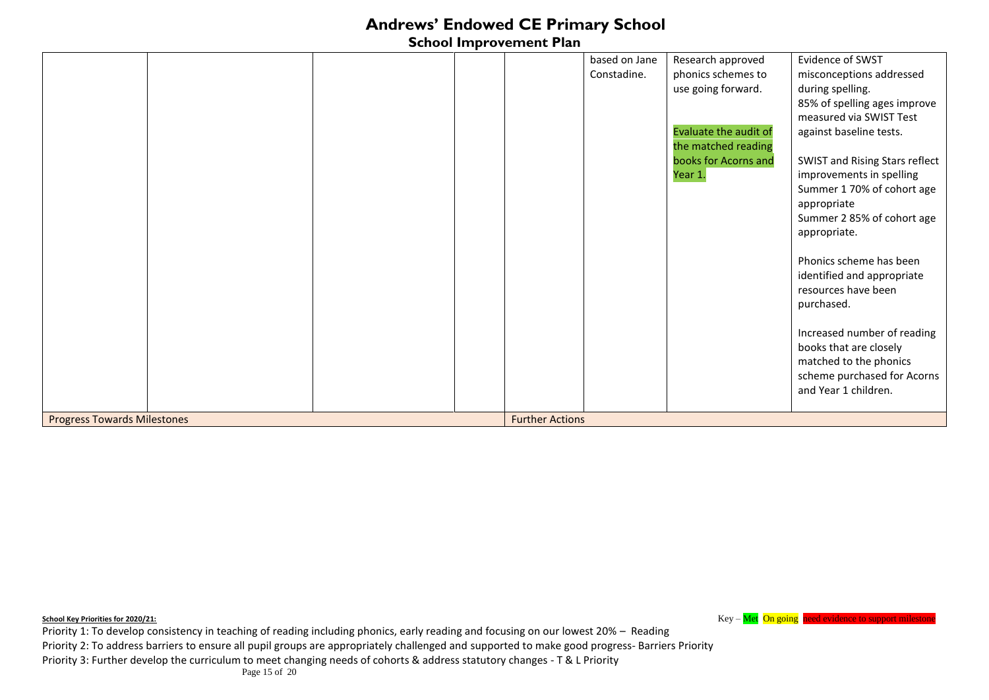### **School Improvement Plan**

|                                    |  |                        | based on Jane | Research approved            | Evidence of SWST               |
|------------------------------------|--|------------------------|---------------|------------------------------|--------------------------------|
|                                    |  |                        | Constadine.   | phonics schemes to           | misconceptions addressed       |
|                                    |  |                        |               | use going forward.           | during spelling.               |
|                                    |  |                        |               |                              | 85% of spelling ages improve   |
|                                    |  |                        |               |                              | measured via SWIST Test        |
|                                    |  |                        |               | <b>Evaluate the audit of</b> | against baseline tests.        |
|                                    |  |                        |               | the matched reading          |                                |
|                                    |  |                        |               | books for Acorns and         | SWIST and Rising Stars reflect |
|                                    |  |                        |               | Year 1.                      | improvements in spelling       |
|                                    |  |                        |               |                              | Summer 1 70% of cohort age     |
|                                    |  |                        |               |                              | appropriate                    |
|                                    |  |                        |               |                              | Summer 2 85% of cohort age     |
|                                    |  |                        |               |                              | appropriate.                   |
|                                    |  |                        |               |                              |                                |
|                                    |  |                        |               |                              | Phonics scheme has been        |
|                                    |  |                        |               |                              | identified and appropriate     |
|                                    |  |                        |               |                              | resources have been            |
|                                    |  |                        |               |                              | purchased.                     |
|                                    |  |                        |               |                              |                                |
|                                    |  |                        |               |                              | Increased number of reading    |
|                                    |  |                        |               |                              | books that are closely         |
|                                    |  |                        |               |                              | matched to the phonics         |
|                                    |  |                        |               |                              | scheme purchased for Acorns    |
|                                    |  |                        |               |                              | and Year 1 children.           |
|                                    |  |                        |               |                              |                                |
| <b>Progress Towards Milestones</b> |  | <b>Further Actions</b> |               |                              |                                |

**School Key Priorities for 2020/21: Key – Met On going need evidence to support milestone**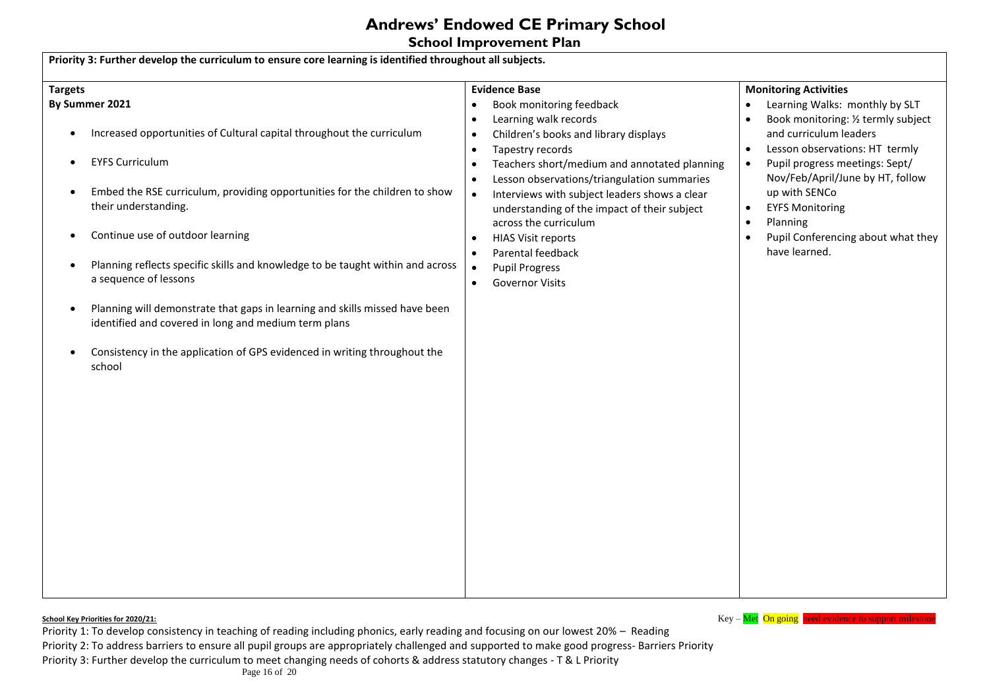**School Improvement Plan** 

| <b>Targets</b>                                                                                                                                   | <b>Evidence Base</b>                                                                                                         | <b>Monitoring Activities</b>                                                                                                   |
|--------------------------------------------------------------------------------------------------------------------------------------------------|------------------------------------------------------------------------------------------------------------------------------|--------------------------------------------------------------------------------------------------------------------------------|
| By Summer 2021                                                                                                                                   | Book monitoring feedback<br>$\bullet$                                                                                        | Learning Walks: monthly by SLT<br>$\bullet$                                                                                    |
| Increased opportunities of Cultural capital throughout the curriculum<br>$\bullet$                                                               | Learning walk records<br>$\bullet$<br>Children's books and library displays<br>$\bullet$                                     | Book monitoring: 1/2 termly subject<br>$\bullet$<br>and curriculum leaders                                                     |
| <b>EYFS Curriculum</b><br>$\bullet$                                                                                                              | Tapestry records<br>$\bullet$<br>Teachers short/medium and annotated planning<br>Lesson observations/triangulation summaries | Lesson observations: HT termly<br>$\bullet$<br>Pupil progress meetings: Sept/<br>$\bullet$<br>Nov/Feb/April/June by HT, follow |
| Embed the RSE curriculum, providing opportunities for the children to show<br>their understanding.                                               | Interviews with subject leaders shows a clear<br>$\bullet$<br>understanding of the impact of their subject                   | up with SENCo<br><b>EYFS Monitoring</b><br>$\bullet$                                                                           |
| Continue use of outdoor learning                                                                                                                 | across the curriculum<br><b>HIAS Visit reports</b><br>$\bullet$<br>Parental feedback                                         | Planning<br>$\bullet$<br>Pupil Conferencing about what they<br>$\bullet$<br>have learned.                                      |
| Planning reflects specific skills and knowledge to be taught within and across<br>a sequence of lessons                                          | <b>Pupil Progress</b><br>$\bullet$<br><b>Governor Visits</b><br>$\bullet$                                                    |                                                                                                                                |
| Planning will demonstrate that gaps in learning and skills missed have been<br>$\bullet$<br>identified and covered in long and medium term plans |                                                                                                                              |                                                                                                                                |
| Consistency in the application of GPS evidenced in writing throughout the<br>school                                                              |                                                                                                                              |                                                                                                                                |
|                                                                                                                                                  |                                                                                                                              |                                                                                                                                |
|                                                                                                                                                  |                                                                                                                              |                                                                                                                                |
|                                                                                                                                                  |                                                                                                                              |                                                                                                                                |
|                                                                                                                                                  |                                                                                                                              |                                                                                                                                |
|                                                                                                                                                  |                                                                                                                              |                                                                                                                                |
|                                                                                                                                                  |                                                                                                                              |                                                                                                                                |

**School Key Priorities for 2020/21: Key – Met On going need evidence to support milestone**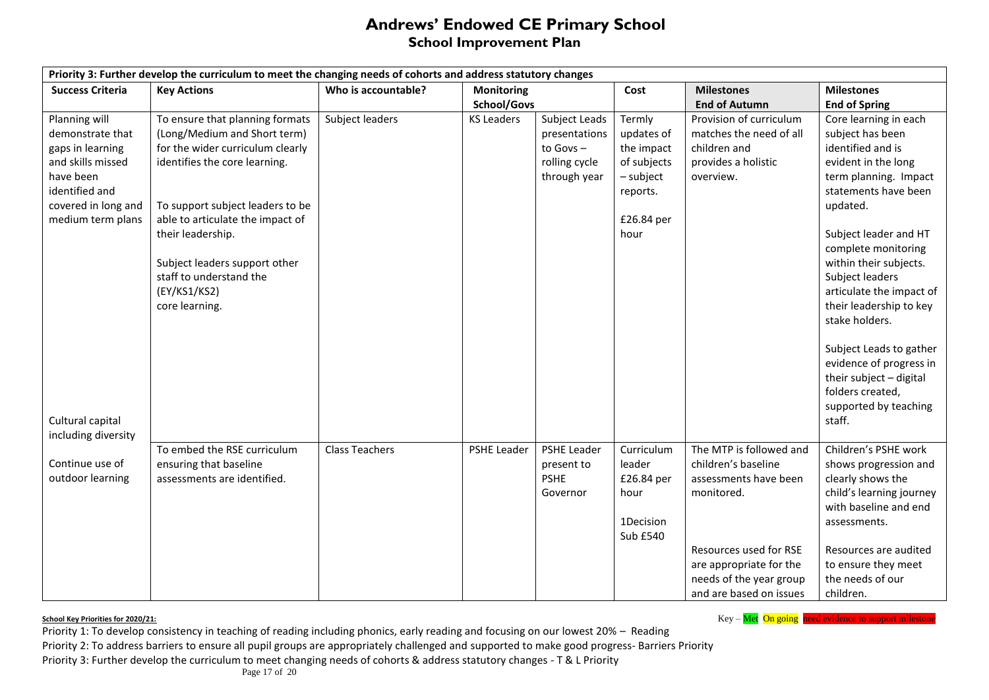### **Andrews' Endowed CE Primary School School Improvement Plan**

| Priority 3: Further develop the curriculum to meet the changing needs of cohorts and address statutory changes                                        |                                                                                                                                                                                                                                                                                                                                 |                       |                    |                                                                                |                                                                                                  |                                                                                                                                                                                                  |                                                                                                                                                                                                                                                                                                                                                                                                                               |  |  |
|-------------------------------------------------------------------------------------------------------------------------------------------------------|---------------------------------------------------------------------------------------------------------------------------------------------------------------------------------------------------------------------------------------------------------------------------------------------------------------------------------|-----------------------|--------------------|--------------------------------------------------------------------------------|--------------------------------------------------------------------------------------------------|--------------------------------------------------------------------------------------------------------------------------------------------------------------------------------------------------|-------------------------------------------------------------------------------------------------------------------------------------------------------------------------------------------------------------------------------------------------------------------------------------------------------------------------------------------------------------------------------------------------------------------------------|--|--|
| <b>Success Criteria</b>                                                                                                                               | <b>Key Actions</b>                                                                                                                                                                                                                                                                                                              | Who is accountable?   | <b>Monitoring</b>  |                                                                                | Cost                                                                                             | <b>Milestones</b>                                                                                                                                                                                | <b>Milestones</b>                                                                                                                                                                                                                                                                                                                                                                                                             |  |  |
|                                                                                                                                                       |                                                                                                                                                                                                                                                                                                                                 |                       | School/Govs        |                                                                                |                                                                                                  | <b>End of Autumn</b>                                                                                                                                                                             | <b>End of Spring</b>                                                                                                                                                                                                                                                                                                                                                                                                          |  |  |
| Planning will<br>demonstrate that<br>gaps in learning<br>and skills missed<br>have been<br>identified and<br>covered in long and<br>medium term plans | To ensure that planning formats<br>(Long/Medium and Short term)<br>for the wider curriculum clearly<br>identifies the core learning.<br>To support subject leaders to be<br>able to articulate the impact of<br>their leadership.<br>Subject leaders support other<br>staff to understand the<br>(EY/KS1/KS2)<br>core learning. | Subject leaders       | <b>KS Leaders</b>  | Subject Leads<br>presentations<br>to Govs $-$<br>rolling cycle<br>through year | Termly<br>updates of<br>the impact<br>of subjects<br>- subject<br>reports.<br>£26.84 per<br>hour | Provision of curriculum<br>matches the need of all<br>children and<br>provides a holistic<br>overview.                                                                                           | Core learning in each<br>subject has been<br>identified and is<br>evident in the long<br>term planning. Impact<br>statements have been<br>updated.<br>Subject leader and HT<br>complete monitoring<br>within their subjects.<br>Subject leaders<br>articulate the impact of<br>their leadership to key<br>stake holders.<br>Subject Leads to gather<br>evidence of progress in<br>their subject - digital<br>folders created, |  |  |
| Cultural capital<br>including diversity                                                                                                               |                                                                                                                                                                                                                                                                                                                                 |                       |                    |                                                                                |                                                                                                  |                                                                                                                                                                                                  | supported by teaching<br>staff.                                                                                                                                                                                                                                                                                                                                                                                               |  |  |
| Continue use of<br>outdoor learning                                                                                                                   | To embed the RSE curriculum<br>ensuring that baseline<br>assessments are identified.                                                                                                                                                                                                                                            | <b>Class Teachers</b> | <b>PSHE Leader</b> | <b>PSHE Leader</b><br>present to<br><b>PSHE</b><br>Governor                    | Curriculum<br>leader<br>£26.84 per<br>hour<br>1Decision<br>Sub £540                              | The MTP is followed and<br>children's baseline<br>assessments have been<br>monitored.<br>Resources used for RSE<br>are appropriate for the<br>needs of the year group<br>and are based on issues | Children's PSHE work<br>shows progression and<br>clearly shows the<br>child's learning journey<br>with baseline and end<br>assessments.<br>Resources are audited<br>to ensure they meet<br>the needs of our<br>children.                                                                                                                                                                                                      |  |  |

**School Key – Met On going need evidence to support milestone** School Key – Met On going need evidence to support milestone

Priority 1: To develop consistency in teaching of reading including phonics, early reading and focusing on our lowest 20% – Reading Priority 2: To address barriers to ensure all pupil groups are appropriately challenged and supported to make good progress- Barriers Priority Priority 3: Further develop the curriculum to meet changing needs of cohorts & address statutory changes - T & L Priority

Page 17 of 20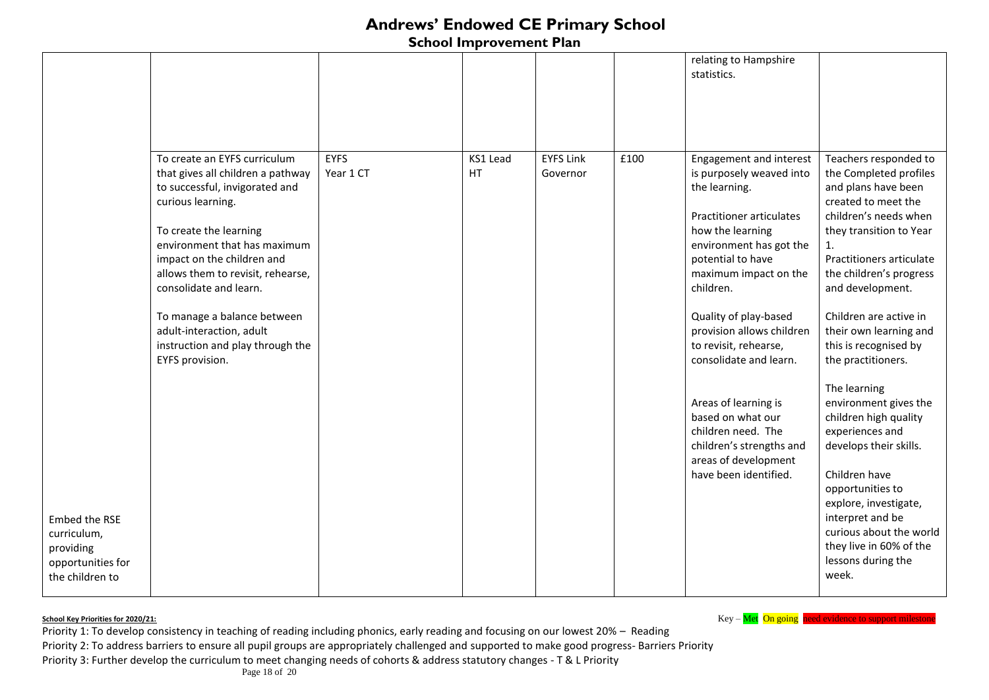**School Improvement Plan** 

|                                                                                   |                                                                                                                                                                                                                                                                                                                                                                                                   | <b>EYFS</b> | KS1 Lead | <b>EYFS Link</b> |      | relating to Hampshire<br>statistics.                                                                                                                                                                                                                                                                                                                                                                                                                                       |                                                                                                                                                                                                                                                                                                                                                                                                                                                                                                                                |
|-----------------------------------------------------------------------------------|---------------------------------------------------------------------------------------------------------------------------------------------------------------------------------------------------------------------------------------------------------------------------------------------------------------------------------------------------------------------------------------------------|-------------|----------|------------------|------|----------------------------------------------------------------------------------------------------------------------------------------------------------------------------------------------------------------------------------------------------------------------------------------------------------------------------------------------------------------------------------------------------------------------------------------------------------------------------|--------------------------------------------------------------------------------------------------------------------------------------------------------------------------------------------------------------------------------------------------------------------------------------------------------------------------------------------------------------------------------------------------------------------------------------------------------------------------------------------------------------------------------|
|                                                                                   | To create an EYFS curriculum<br>that gives all children a pathway<br>to successful, invigorated and<br>curious learning.<br>To create the learning<br>environment that has maximum<br>impact on the children and<br>allows them to revisit, rehearse,<br>consolidate and learn.<br>To manage a balance between<br>adult-interaction, adult<br>instruction and play through the<br>EYFS provision. | Year 1 CT   | HT       | Governor         | £100 | Engagement and interest<br>is purposely weaved into<br>the learning.<br><b>Practitioner articulates</b><br>how the learning<br>environment has got the<br>potential to have<br>maximum impact on the<br>children.<br>Quality of play-based<br>provision allows children<br>to revisit, rehearse,<br>consolidate and learn.<br>Areas of learning is<br>based on what our<br>children need. The<br>children's strengths and<br>areas of development<br>have been identified. | Teachers responded to<br>the Completed profiles<br>and plans have been<br>created to meet the<br>children's needs when<br>they transition to Year<br>$\mathbf{1}$ .<br>Practitioners articulate<br>the children's progress<br>and development.<br>Children are active in<br>their own learning and<br>this is recognised by<br>the practitioners.<br>The learning<br>environment gives the<br>children high quality<br>experiences and<br>develops their skills.<br>Children have<br>opportunities to<br>explore, investigate, |
| Embed the RSE<br>curriculum,<br>providing<br>opportunities for<br>the children to |                                                                                                                                                                                                                                                                                                                                                                                                   |             |          |                  |      |                                                                                                                                                                                                                                                                                                                                                                                                                                                                            | interpret and be<br>curious about the world<br>they live in 60% of the<br>lessons during the<br>week.                                                                                                                                                                                                                                                                                                                                                                                                                          |

**School Key – Met On going need evidence to support milestone** School Key – Met On going need evidence to support milestone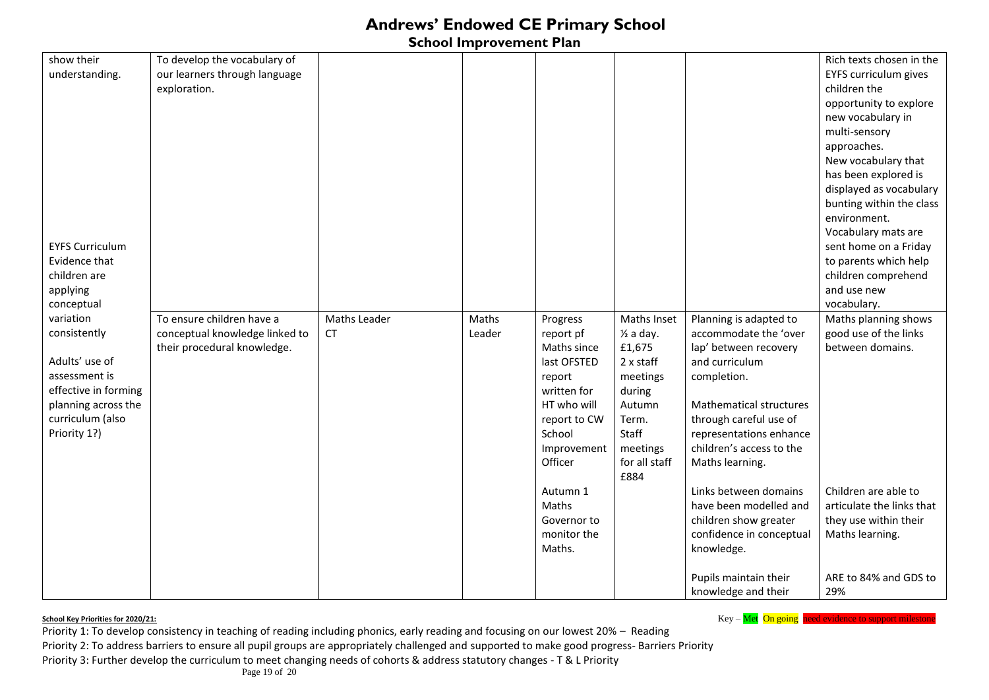### **School Improvement Plan**

| show their             | To develop the vocabulary of   |              |        |              |                      |                          | Rich texts chosen in the                       |
|------------------------|--------------------------------|--------------|--------|--------------|----------------------|--------------------------|------------------------------------------------|
| understanding.         | our learners through language  |              |        |              |                      |                          | EYFS curriculum gives                          |
|                        | exploration.                   |              |        |              |                      |                          | children the                                   |
|                        |                                |              |        |              |                      |                          | opportunity to explore                         |
|                        |                                |              |        |              |                      |                          | new vocabulary in                              |
|                        |                                |              |        |              |                      |                          | multi-sensory                                  |
|                        |                                |              |        |              |                      |                          | approaches.                                    |
|                        |                                |              |        |              |                      |                          | New vocabulary that                            |
|                        |                                |              |        |              |                      |                          | has been explored is                           |
|                        |                                |              |        |              |                      |                          | displayed as vocabulary                        |
|                        |                                |              |        |              |                      |                          | bunting within the class                       |
|                        |                                |              |        |              |                      |                          | environment.                                   |
|                        |                                |              |        |              |                      |                          | Vocabulary mats are                            |
| <b>EYFS Curriculum</b> |                                |              |        |              |                      |                          |                                                |
| Evidence that          |                                |              |        |              |                      |                          | sent home on a Friday<br>to parents which help |
| children are           |                                |              |        |              |                      |                          | children comprehend                            |
|                        |                                |              |        |              |                      |                          | and use new                                    |
| applying               |                                |              |        |              |                      |                          | vocabulary.                                    |
| conceptual             |                                |              |        |              |                      |                          |                                                |
| variation              | To ensure children have a      | Maths Leader | Maths  | Progress     | Maths Inset          | Planning is adapted to   | Maths planning shows                           |
| consistently           | conceptual knowledge linked to | <b>CT</b>    | Leader | report pf    | $\frac{1}{2}$ a day. | accommodate the 'over    | good use of the links                          |
| Adults' use of         | their procedural knowledge.    |              |        | Maths since  | £1,675               | lap' between recovery    | between domains.                               |
|                        |                                |              |        | last OFSTED  | $2x$ staff           | and curriculum           |                                                |
| assessment is          |                                |              |        | report       | meetings             | completion.              |                                                |
| effective in forming   |                                |              |        | written for  | during               |                          |                                                |
| planning across the    |                                |              |        | HT who will  | Autumn               | Mathematical structures  |                                                |
| curriculum (also       |                                |              |        | report to CW | Term.                | through careful use of   |                                                |
| Priority 1?)           |                                |              |        | School       | Staff                | representations enhance  |                                                |
|                        |                                |              |        | Improvement  | meetings             | children's access to the |                                                |
|                        |                                |              |        | Officer      | for all staff        | Maths learning.          |                                                |
|                        |                                |              |        |              | £884                 |                          |                                                |
|                        |                                |              |        | Autumn 1     |                      | Links between domains    | Children are able to                           |
|                        |                                |              |        | Maths        |                      | have been modelled and   | articulate the links that                      |
|                        |                                |              |        | Governor to  |                      | children show greater    | they use within their                          |
|                        |                                |              |        | monitor the  |                      | confidence in conceptual | Maths learning.                                |
|                        |                                |              |        | Maths.       |                      | knowledge.               |                                                |
|                        |                                |              |        |              |                      | Pupils maintain their    | ARE to 84% and GDS to                          |
|                        |                                |              |        |              |                      | knowledge and their      | 29%                                            |

**School Key – Met On going need evidence to support milestone** School Key – Met On going need evidence to support milestone

Priority 1: To develop consistency in teaching of reading including phonics, early reading and focusing on our lowest 20% – Reading Priority 2: To address barriers to ensure all pupil groups are appropriately challenged and supported to make good progress- Barriers Priority Priority 3: Further develop the curriculum to meet changing needs of cohorts & address statutory changes - T & L Priority

Page 19 of 20